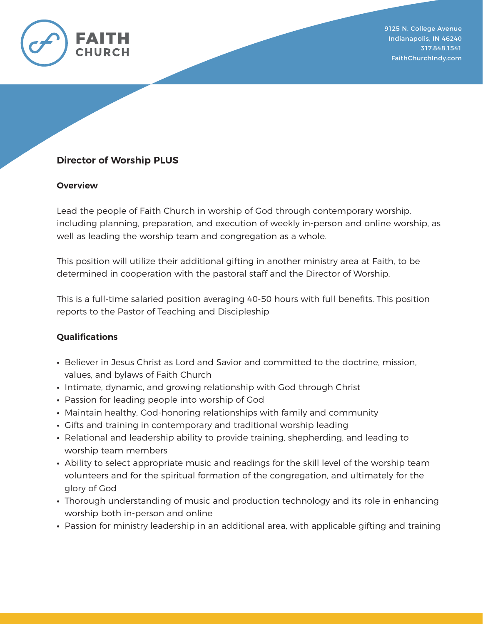

# **Director of Worship PLUS**

#### **Overview**

Lead the people of Faith Church in worship of God through contemporary worship, including planning, preparation, and execution of weekly in-person and online worship, as well as leading the worship team and congregation as a whole.

This position will utilize their additional gifting in another ministry area at Faith, to be determined in cooperation with the pastoral staff and the Director of Worship.

This is a full-time salaried position averaging 40-50 hours with full benefits. This position reports to the Pastor of Teaching and Discipleship

### **Qualifications**

- **∙** Believer in Jesus Christ as Lord and Savior and committed to the doctrine, mission, values, and bylaws of Faith Church
- **∙** Intimate, dynamic, and growing relationship with God through Christ
- **∙** Passion for leading people into worship of God
- **∙** Maintain healthy, God-honoring relationships with family and community
- **∙** Gifts and training in contemporary and traditional worship leading
- **∙** Relational and leadership ability to provide training, shepherding, and leading to worship team members
- **∙** Ability to select appropriate music and readings for the skill level of the worship team volunteers and for the spiritual formation of the congregation, and ultimately for the glory of God
- **∙** Thorough understanding of music and production technology and its role in enhancing worship both in-person and online
- **∙** Passion for ministry leadership in an additional area, with applicable gifting and training